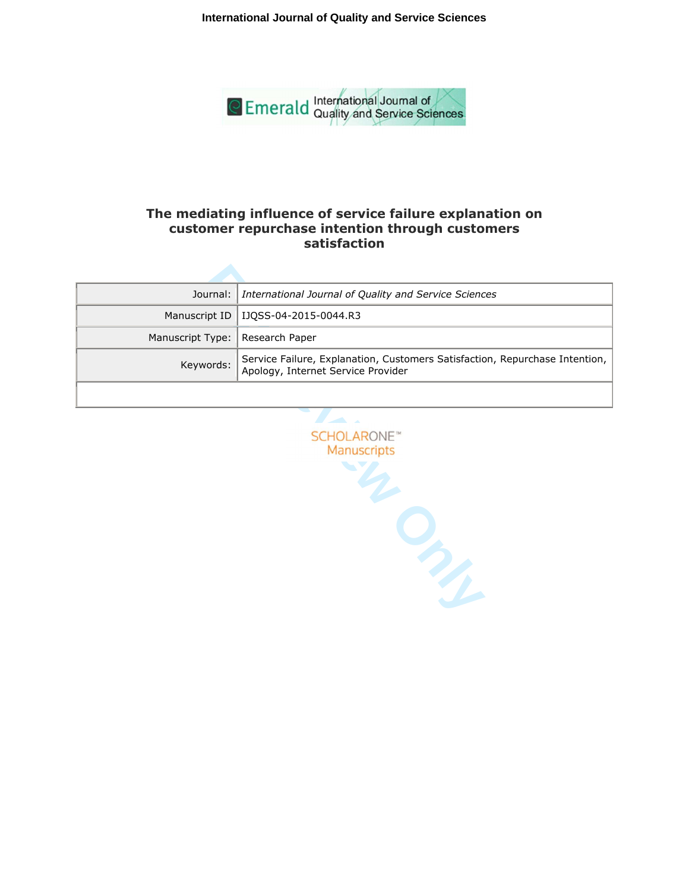**International Journal of Quality and Service Sciences**



# **The mediating influence of service failure explanation on customer repurchase intention through customers satisfaction**

|                                   | Journal:   International Journal of Quality and Service Sciences                                                  |
|-----------------------------------|-------------------------------------------------------------------------------------------------------------------|
|                                   | Manuscript ID   IJQSS-04-2015-0044.R3                                                                             |
| Manuscript Type:   Research Paper |                                                                                                                   |
| Keywords:                         | Service Failure, Explanation, Customers Satisfaction, Repurchase Intention,<br>Apology, Internet Service Provider |
|                                   |                                                                                                                   |

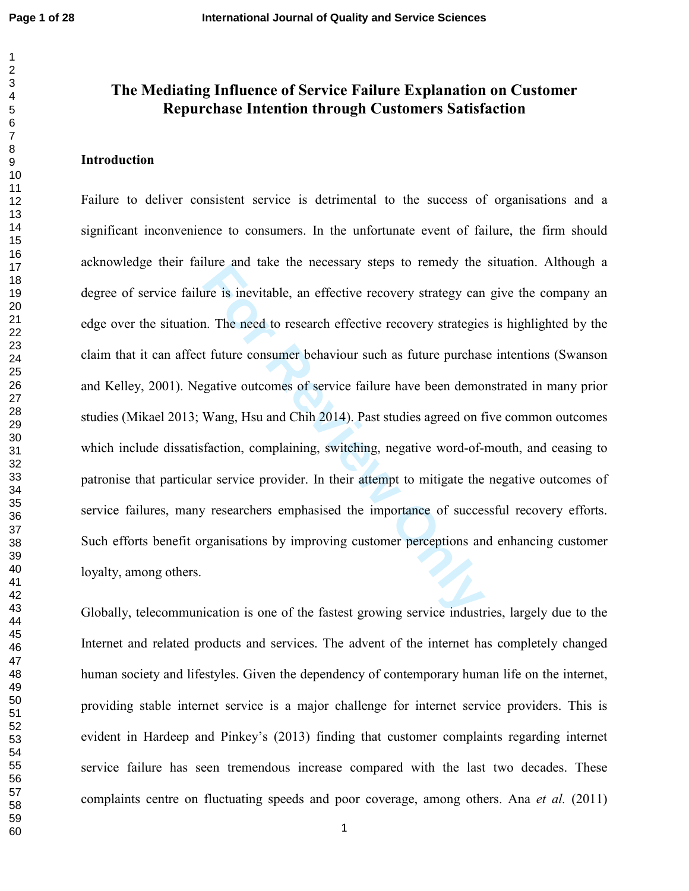$\mathbf{1}$  $\overline{2}$ 

# **The Mediating Influence of Service Failure Explanation on Customer Repurchase Intention through Customers Satisfaction**

# **Introduction**

For any date the hecessary steps to femety the<br>time in inevitable, an effective recovery strategy can<br>a. The need to research effective recovery strategies<br>t future consumer behaviour such as future purchas<br>gative outcomes Failure to deliver consistent service is detrimental to the success of organisations and a significant inconvenience to consumers. In the unfortunate event of failure, the firm should acknowledge their failure and take the necessary steps to remedy the situation. Although a degree of service failure is inevitable, an effective recovery strategy can give the company an edge over the situation. The need to research effective recovery strategies is highlighted by the claim that it can affect future consumer behaviour such as future purchase intentions (Swanson and Kelley, 2001). Negative outcomes of service failure have been demonstrated in many prior studies (Mikael 2013; Wang, Hsu and Chih 2014). Past studies agreed on five common outcomes which include dissatisfaction, complaining, switching, negative word-of-mouth, and ceasing to patronise that particular service provider. In their attempt to mitigate the negative outcomes of service failures, many researchers emphasised the importance of successful recovery efforts. Such efforts benefit organisations by improving customer perceptions and enhancing customer loyalty, among others.

Globally, telecommunication is one of the fastest growing service industries, largely due to the Internet and related products and services. The advent of the internet has completely changed human society and lifestyles. Given the dependency of contemporary human life on the internet, providing stable internet service is a major challenge for internet service providers. This is evident in Hardeep and Pinkey's (2013) finding that customer complaints regarding internet service failure has seen tremendous increase compared with the last two decades. These complaints centre on fluctuating speeds and poor coverage, among others. Ana *et al.* (2011)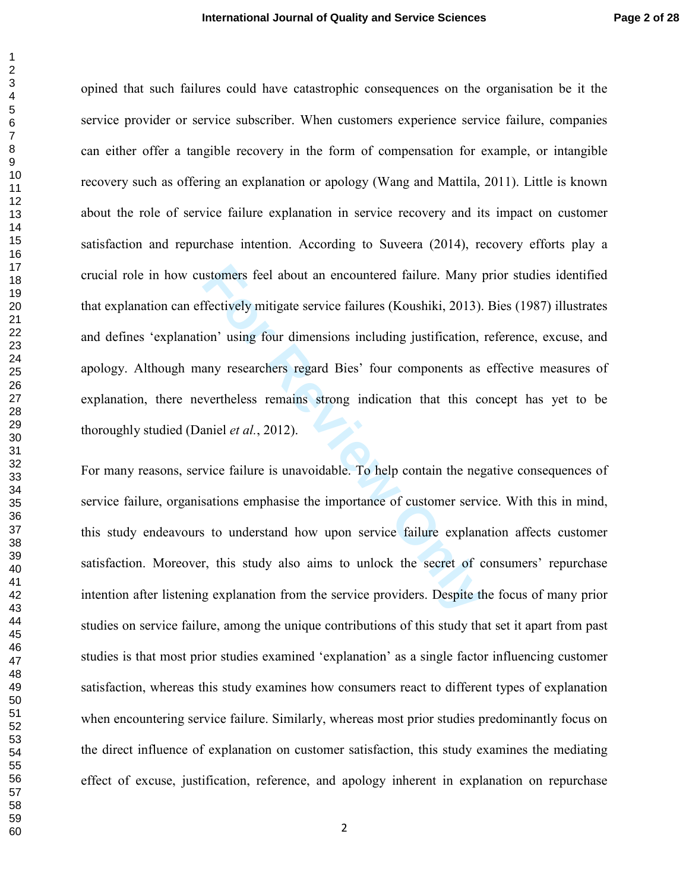Interest feel about an encountered failure. Many protectively mitigate service failures (Koushiki, 2013).<br>
on' using four dimensions including justification, sany researchers regard Bies' four components as<br>
vertheless rem opined that such failures could have catastrophic consequences on the organisation be it the service provider or service subscriber. When customers experience service failure, companies can either offer a tangible recovery in the form of compensation for example, or intangible recovery such as offering an explanation or apology (Wang and Mattila, 2011). Little is known about the role of service failure explanation in service recovery and its impact on customer satisfaction and repurchase intention. According to Suveera (2014), recovery efforts play a crucial role in how customers feel about an encountered failure. Many prior studies identified that explanation can effectively mitigate service failures (Koushiki, 2013). Bies (1987) illustrates and defines 'explanation' using four dimensions including justification, reference, excuse, and apology. Although many researchers regard Bies' four components as effective measures of explanation, there nevertheless remains strong indication that this concept has yet to be thoroughly studied (Daniel *et al.*, 2012).

For many reasons, service failure is unavoidable. To help contain the negative consequences of service failure, organisations emphasise the importance of customer service. With this in mind, this study endeavours to understand how upon service failure explanation affects customer satisfaction. Moreover, this study also aims to unlock the secret of consumers' repurchase intention after listening explanation from the service providers. Despite the focus of many prior studies on service failure, among the unique contributions of this study that set it apart from past studies is that most prior studies examined 'explanation' as a single factor influencing customer satisfaction, whereas this study examines how consumers react to different types of explanation when encountering service failure. Similarly, whereas most prior studies predominantly focus on the direct influence of explanation on customer satisfaction, this study examines the mediating effect of excuse, justification, reference, and apology inherent in explanation on repurchase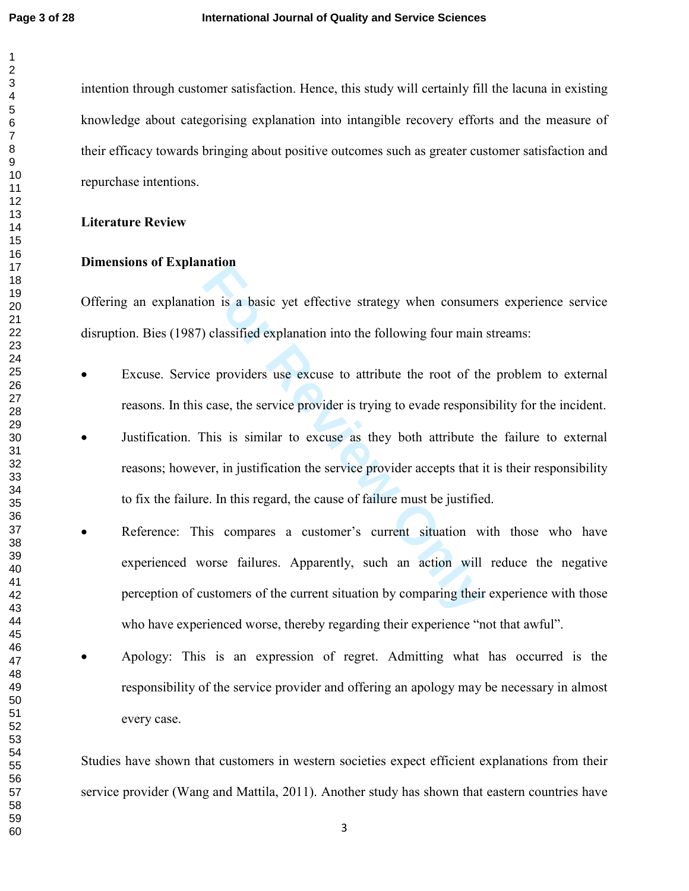intention through customer satisfaction. Hence, this study will certainly fill the lacuna in existing knowledge about categorising explanation into intangible recovery efforts and the measure of their efficacy towards bringing about positive outcomes such as greater customer satisfaction and repurchase intentions.

# **Literature Review**

# **Dimensions of Explanation**

Offering an explanation is a basic yet effective strategy when consumers experience service disruption. Bies (1987) classified explanation into the following four main streams:

- Excuse. Service providers use excuse to attribute the root of the problem to external reasons. In this case, the service provider is trying to evade responsibility for the incident.
- Justification. This is similar to excuse as they both attribute the failure to external reasons; however, in justification the service provider accepts that it is their responsibility to fix the failure. In this regard, the cause of failure must be justified.
- **Fourier 10** Solvid Explanation into the following four main<br> **For Providers** use excuse to attribute the root of th<br>
case, the service provider is trying to evade respons<br>
This is similar to excuse as they both attribute • Reference: This compares a customer's current situation with those who have experienced worse failures. Apparently, such an action will reduce the negative perception of customers of the current situation by comparing their experience with those who have experienced worse, thereby regarding their experience "not that awful".
- Apology: This is an expression of regret. Admitting what has occurred is the responsibility of the service provider and offering an apology may be necessary in almost every case.

Studies have shown that customers in western societies expect efficient explanations from their service provider (Wang and Mattila, 2011). Another study has shown that eastern countries have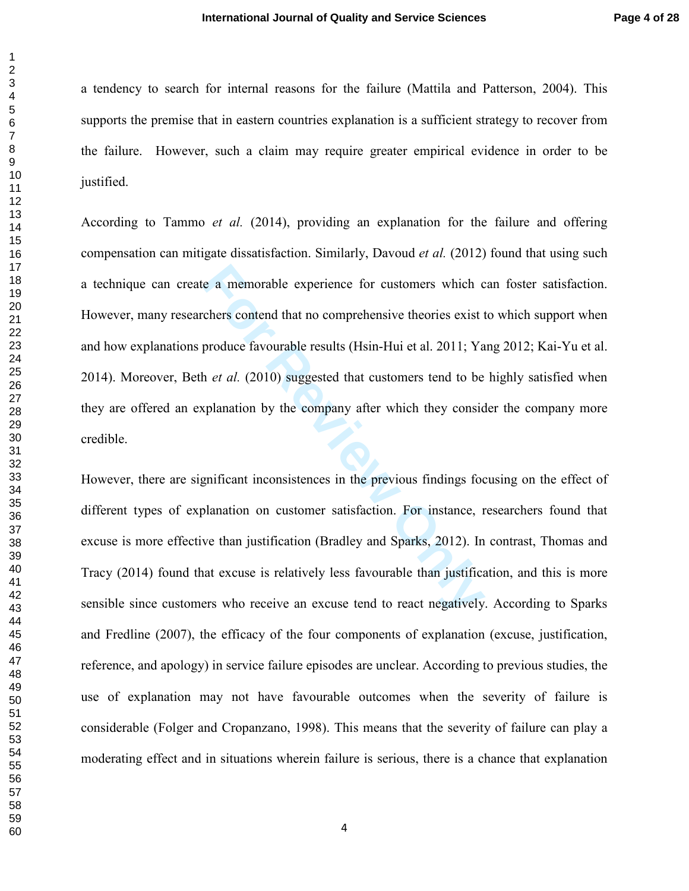a tendency to search for internal reasons for the failure (Mattila and Patterson, 2004). This supports the premise that in eastern countries explanation is a sufficient strategy to recover from the failure. However, such a claim may require greater empirical evidence in order to be justified.

e a memorable experience for customers which c<br>chers contend that no comprehensive theories exist t<br>produce favourable results (Hsin-Hui et al. 2011; Ya<br>h *et al.* (2010) suggested that customers tend to be<br>splanation by t According to Tammo *et al.* (2014), providing an explanation for the failure and offering compensation can mitigate dissatisfaction. Similarly, Davoud *et al.* (2012) found that using such a technique can create a memorable experience for customers which can foster satisfaction. However, many researchers contend that no comprehensive theories exist to which support when and how explanations produce favourable results (Hsin-Hui et al. 2011; Yang 2012; Kai-Yu et al. 2014). Moreover, Beth *et al.* (2010) suggested that customers tend to be highly satisfied when they are offered an explanation by the company after which they consider the company more credible.

However, there are significant inconsistences in the previous findings focusing on the effect of different types of explanation on customer satisfaction. For instance, researchers found that excuse is more effective than justification (Bradley and Sparks, 2012). In contrast, Thomas and Tracy (2014) found that excuse is relatively less favourable than justification, and this is more sensible since customers who receive an excuse tend to react negatively. According to Sparks and Fredline (2007), the efficacy of the four components of explanation (excuse, justification, reference, and apology) in service failure episodes are unclear. According to previous studies, the use of explanation may not have favourable outcomes when the severity of failure is considerable (Folger and Cropanzano, 1998). This means that the severity of failure can play a moderating effect and in situations wherein failure is serious, there is a chance that explanation

 $\mathbf{1}$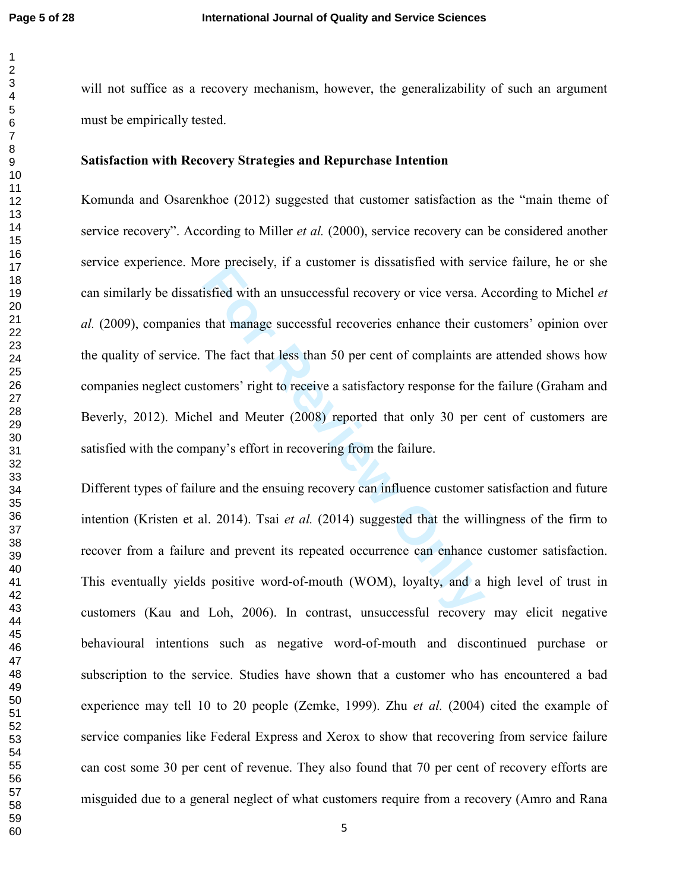$\mathbf{1}$  $\overline{2}$ 

will not suffice as a recovery mechanism, however, the generalizability of such an argument must be empirically tested. **Satisfaction with Recovery Strategies and Repurchase Intention**  Komunda and Osarenkhoe (2012) suggested that customer satisfaction as the "main theme of

ore precisely, it a customer is unstantined with ser-<br>isfied with an unsuccessful recovery or vice versa. *A*<br>that manage successful recoveries enhance their cu<br>The fact that less than 50 per cent of complaints ar<br>tomers' service recovery". According to Miller *et al.* (2000), service recovery can be considered another service experience. More precisely, if a customer is dissatisfied with service failure, he or she can similarly be dissatisfied with an unsuccessful recovery or vice versa. According to Michel *et al.* (2009), companies that manage successful recoveries enhance their customers' opinion over the quality of service. The fact that less than 50 per cent of complaints are attended shows how companies neglect customers' right to receive a satisfactory response for the failure (Graham and Beverly, 2012). Michel and Meuter (2008) reported that only 30 per cent of customers are satisfied with the company's effort in recovering from the failure.

Different types of failure and the ensuing recovery can influence customer satisfaction and future intention (Kristen et al. 2014). Tsai *et al.* (2014) suggested that the willingness of the firm to recover from a failure and prevent its repeated occurrence can enhance customer satisfaction. This eventually yields positive word-of-mouth (WOM), loyalty, and a high level of trust in customers (Kau and Loh, 2006). In contrast, unsuccessful recovery may elicit negative behavioural intentions such as negative word-of-mouth and discontinued purchase or subscription to the service. Studies have shown that a customer who has encountered a bad experience may tell 10 to 20 people (Zemke, 1999). Zhu *et al.* (2004) cited the example of service companies like Federal Express and Xerox to show that recovering from service failure can cost some 30 per cent of revenue. They also found that 70 per cent of recovery efforts are misguided due to a general neglect of what customers require from a recovery (Amro and Rana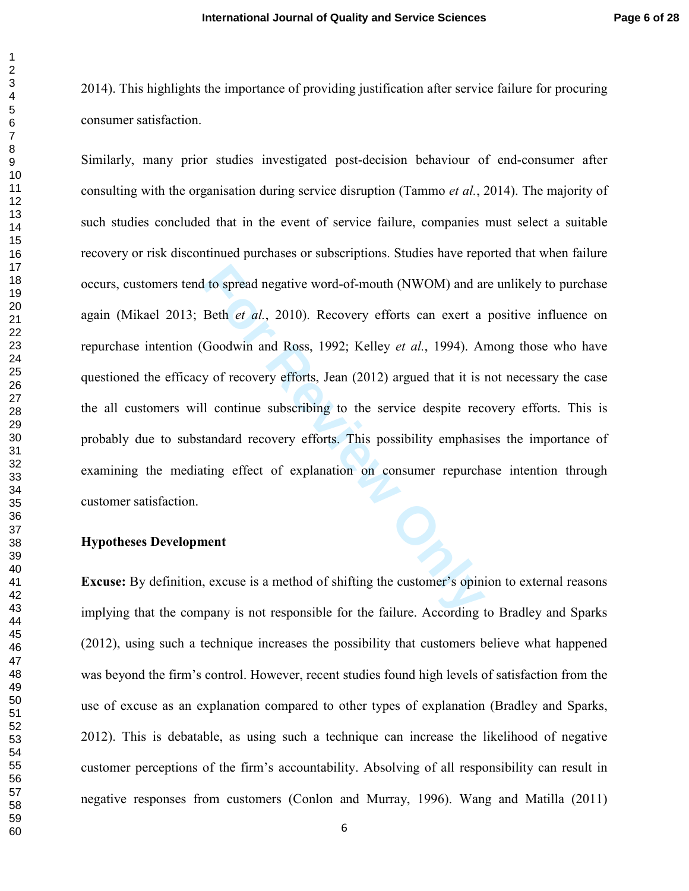2014). This highlights the importance of providing justification after service failure for procuring consumer satisfaction.

It to spread negative word-of-mouth (NWOM) and an<br>
Beth *et al.*, 2010). Recovery efforts can exert a<br>
Goodwin and Ross, 1992; Kelley *et al.*, 1994). An<br>
y of recovery efforts, Jean (2012) argued that it is<br>
1 continue su Similarly, many prior studies investigated post-decision behaviour of end-consumer after consulting with the organisation during service disruption (Tammo *et al.*, 2014). The majority of such studies concluded that in the event of service failure, companies must select a suitable recovery or risk discontinued purchases or subscriptions. Studies have reported that when failure occurs, customers tend to spread negative word-of-mouth (NWOM) and are unlikely to purchase again (Mikael 2013; Beth *et al.*, 2010). Recovery efforts can exert a positive influence on repurchase intention (Goodwin and Ross, 1992; Kelley *et al.*, 1994). Among those who have questioned the efficacy of recovery efforts, Jean (2012) argued that it is not necessary the case the all customers will continue subscribing to the service despite recovery efforts. This is probably due to substandard recovery efforts. This possibility emphasises the importance of examining the mediating effect of explanation on consumer repurchase intention through customer satisfaction.

# **Hypotheses Development**

**Excuse:** By definition, excuse is a method of shifting the customer's opinion to external reasons implying that the company is not responsible for the failure. According to Bradley and Sparks (2012), using such a technique increases the possibility that customers believe what happened was beyond the firm's control. However, recent studies found high levels of satisfaction from the use of excuse as an explanation compared to other types of explanation (Bradley and Sparks, 2012). This is debatable, as using such a technique can increase the likelihood of negative customer perceptions of the firm's accountability. Absolving of all responsibility can result in negative responses from customers (Conlon and Murray, 1996). Wang and Matilla (2011)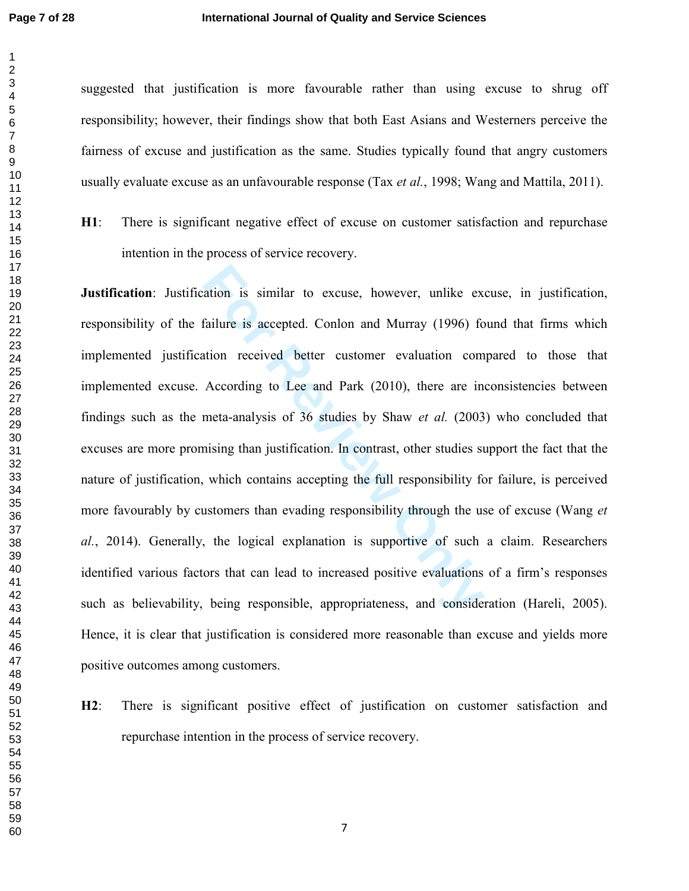suggested that justification is more favourable rather than using excuse to shrug off responsibility; however, their findings show that both East Asians and Westerners perceive the fairness of excuse and justification as the same. Studies typically found that angry customers usually evaluate excuse as an unfavourable response (Tax *et al.*, 1998; Wang and Mattila, 2011).

**H1**: There is significant negative effect of excuse on customer satisfaction and repurchase intention in the process of service recovery.

ation is similar to excuse, however, unlike exfailure is accepted. Conlon and Murray (1996) for received better customer evaluation com According to Lee and Park (2010), there are in meta-analysis of 36 studies by Shaw *et* **Justification**: Justification is similar to excuse, however, unlike excuse, in justification, responsibility of the failure is accepted. Conlon and Murray (1996) found that firms which implemented justification received better customer evaluation compared to those that implemented excuse. According to Lee and Park (2010), there are inconsistencies between findings such as the meta-analysis of 36 studies by Shaw *et al.* (2003) who concluded that excuses are more promising than justification. In contrast, other studies support the fact that the nature of justification, which contains accepting the full responsibility for failure, is perceived more favourably by customers than evading responsibility through the use of excuse (Wang *et al.*, 2014). Generally, the logical explanation is supportive of such a claim. Researchers identified various factors that can lead to increased positive evaluations of a firm's responses such as believability, being responsible, appropriateness, and consideration (Hareli, 2005). Hence, it is clear that justification is considered more reasonable than excuse and yields more positive outcomes among customers.

**H2**: There is significant positive effect of justification on customer satisfaction and repurchase intention in the process of service recovery.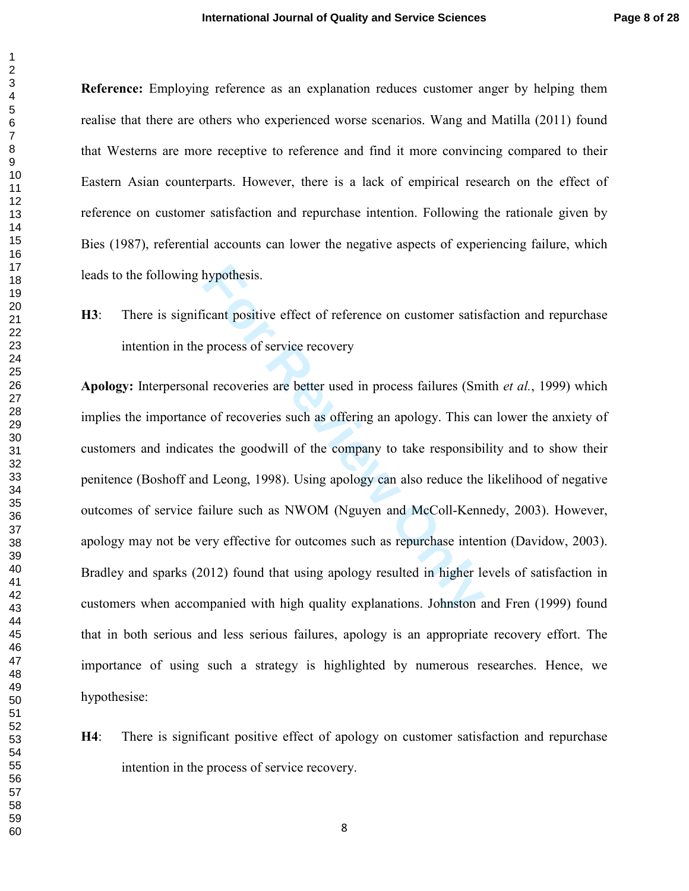**Reference:** Employing reference as an explanation reduces customer anger by helping them realise that there are others who experienced worse scenarios. Wang and Matilla (2011) found that Westerns are more receptive to reference and find it more convincing compared to their Eastern Asian counterparts. However, there is a lack of empirical research on the effect of reference on customer satisfaction and repurchase intention. Following the rationale given by Bies (1987), referential accounts can lower the negative aspects of experiencing failure, which leads to the following hypothesis.

**H3**: There is significant positive effect of reference on customer satisfaction and repurchase intention in the process of service recovery

hypothesis.<br>
icant positive effect of reference on customer satist<br>
process of service recovery<br>
al recoveries are better used in process failures (Sm<br>
e of recoveries such as offering an apology. This ca<br>
es the goodwill **Apology:** Interpersonal recoveries are better used in process failures (Smith *et al.*, 1999) which implies the importance of recoveries such as offering an apology. This can lower the anxiety of customers and indicates the goodwill of the company to take responsibility and to show their penitence (Boshoff and Leong, 1998). Using apology can also reduce the likelihood of negative outcomes of service failure such as NWOM (Nguyen and McColl-Kennedy, 2003). However, apology may not be very effective for outcomes such as repurchase intention (Davidow, 2003). Bradley and sparks (2012) found that using apology resulted in higher levels of satisfaction in customers when accompanied with high quality explanations. Johnston and Fren (1999) found that in both serious and less serious failures, apology is an appropriate recovery effort. The importance of using such a strategy is highlighted by numerous researches. Hence, we hypothesise:

**H4**: There is significant positive effect of apology on customer satisfaction and repurchase intention in the process of service recovery.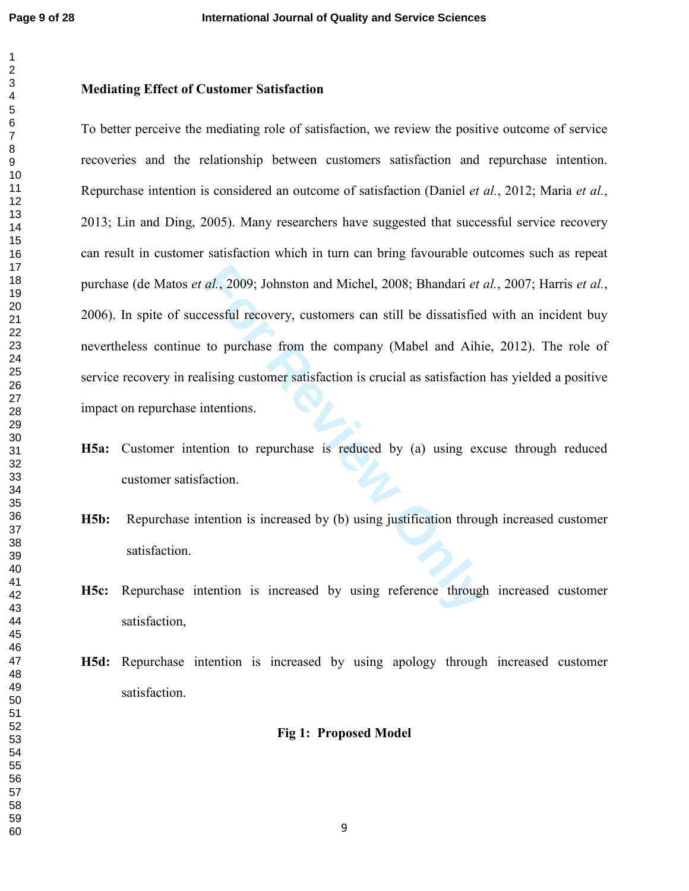#### $\overline{2}$

# **Mediating Effect of Customer Satisfaction**

al., 2009; Johnston and Michel, 2008; Bhandari et a<br>cessful recovery, customers can still be dissatisfied<br>to purchase from the company (Mabel and Aihi<br>lising customer satisfaction is crucial as satisfaction<br>ntentions.<br>tion To better perceive the mediating role of satisfaction, we review the positive outcome of service recoveries and the relationship between customers satisfaction and repurchase intention. Repurchase intention is considered an outcome of satisfaction (Daniel *et al.*, 2012; Maria *et al.*, 2013; Lin and Ding, 2005). Many researchers have suggested that successful service recovery can result in customer satisfaction which in turn can bring favourable outcomes such as repeat purchase (de Matos *et al.*, 2009; Johnston and Michel, 2008; Bhandari *et al.*, 2007; Harris *et al.*, 2006). In spite of successful recovery, customers can still be dissatisfied with an incident buy nevertheless continue to purchase from the company (Mabel and Aihie, 2012). The role of service recovery in realising customer satisfaction is crucial as satisfaction has yielded a positive impact on repurchase intentions.

- **H5a:** Customer intention to repurchase is reduced by (a) using excuse through reduced customer satisfaction.
- **H5b:** Repurchase intention is increased by (b) using justification through increased customer satisfaction.
- **H5c:** Repurchase intention is increased by using reference through increased customer satisfaction,
- **H5d:** Repurchase intention is increased by using apology through increased customer satisfaction.

# **Fig 1: Proposed Model**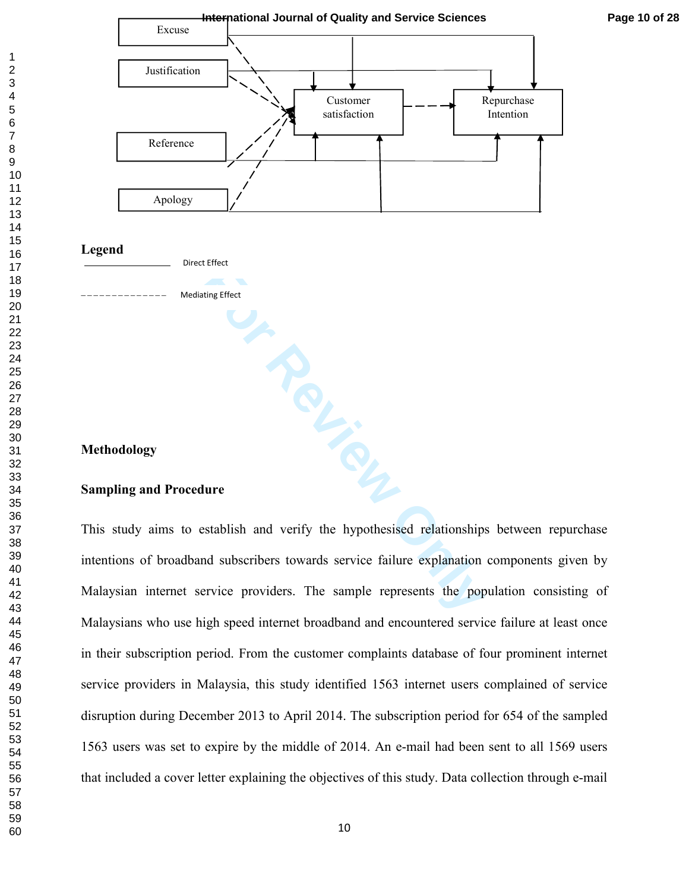

#### **Legend**



Mediating Effect

# **Methodology**

# **For Review Only Sampling and Procedure**

This study aims to establish and verify the hypothesised relationships between repurchase intentions of broadband subscribers towards service failure explanation components given by Malaysian internet service providers. The sample represents the population consisting of Malaysians who use high speed internet broadband and encountered service failure at least once in their subscription period. From the customer complaints database of four prominent internet service providers in Malaysia, this study identified 1563 internet users complained of service disruption during December 2013 to April 2014. The subscription period for 654 of the sampled 1563 users was set to expire by the middle of 2014. An e-mail had been sent to all 1569 users that included a cover letter explaining the objectives of this study. Data collection through e-mail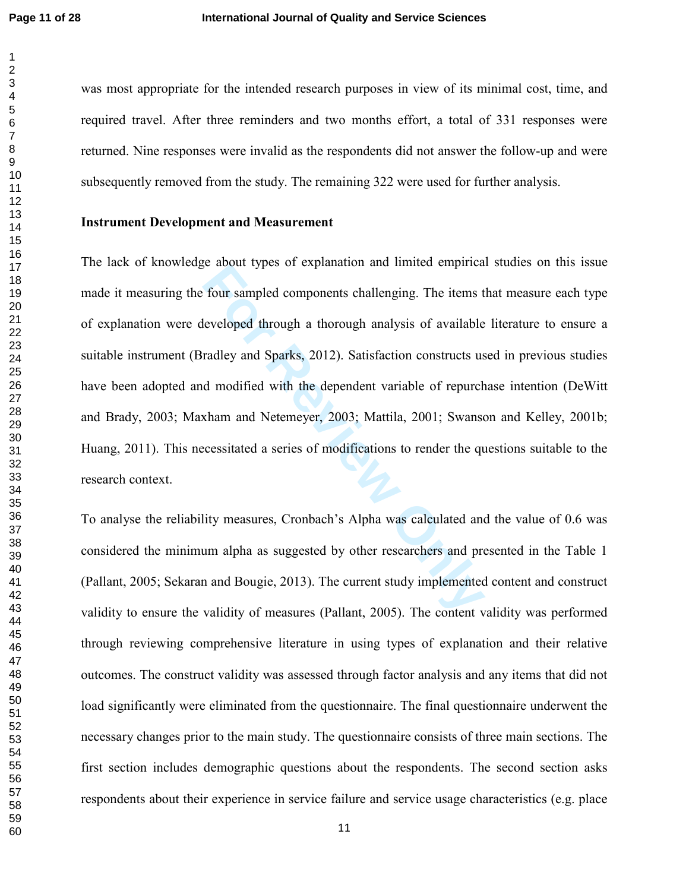was most appropriate for the intended research purposes in view of its minimal cost, time, and required travel. After three reminders and two months effort, a total of 331 responses were returned. Nine responses were invalid as the respondents did not answer the follow-up and were subsequently removed from the study. The remaining 322 were used for further analysis.

# **Instrument Development and Measurement**

Four sampled components challenging. The items the<br>eveloped through a thorough analysis of available<br>radley and Sparks, 2012). Satisfaction constructs us<br>d modified with the dependent variable of repurch<br>xham and Netemeyer The lack of knowledge about types of explanation and limited empirical studies on this issue made it measuring the four sampled components challenging. The items that measure each type of explanation were developed through a thorough analysis of available literature to ensure a suitable instrument (Bradley and Sparks, 2012). Satisfaction constructs used in previous studies have been adopted and modified with the dependent variable of repurchase intention (DeWitt and Brady, 2003; Maxham and Netemeyer, 2003; Mattila, 2001; Swanson and Kelley, 2001b; Huang, 2011). This necessitated a series of modifications to render the questions suitable to the research context.

To analyse the reliability measures, Cronbach's Alpha was calculated and the value of 0.6 was considered the minimum alpha as suggested by other researchers and presented in the Table 1 (Pallant, 2005; Sekaran and Bougie, 2013). The current study implemented content and construct validity to ensure the validity of measures (Pallant, 2005). The content validity was performed through reviewing comprehensive literature in using types of explanation and their relative outcomes. The construct validity was assessed through factor analysis and any items that did not load significantly were eliminated from the questionnaire. The final questionnaire underwent the necessary changes prior to the main study. The questionnaire consists of three main sections. The first section includes demographic questions about the respondents. The second section asks respondents about their experience in service failure and service usage characteristics (e.g. place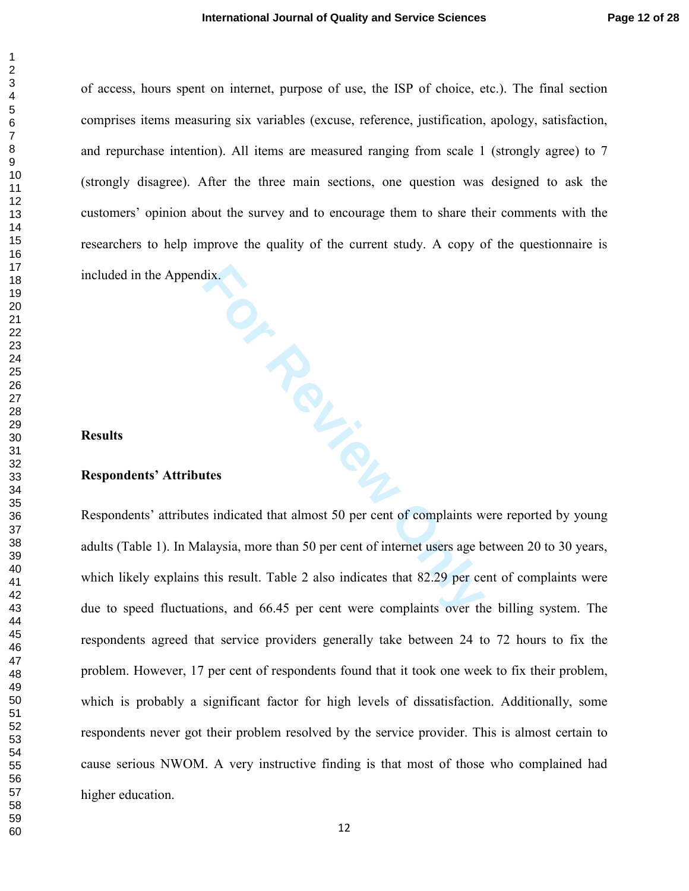of access, hours spent on internet, purpose of use, the ISP of choice, etc.). The final section comprises items measuring six variables (excuse, reference, justification, apology, satisfaction, and repurchase intention). All items are measured ranging from scale 1 (strongly agree) to 7 (strongly disagree). After the three main sections, one question was designed to ask the customers' opinion about the survey and to encourage them to share their comments with the researchers to help improve the quality of the current study. A copy of the questionnaire is included in the Appendix.

# **Results**

#### **Respondents' Attributes**

**For Review** Respondents' attributes indicated that almost 50 per cent of complaints were reported by young adults (Table 1). In Malaysia, more than 50 per cent of internet users age between 20 to 30 years, which likely explains this result. Table 2 also indicates that 82.29 per cent of complaints were due to speed fluctuations, and 66.45 per cent were complaints over the billing system. The respondents agreed that service providers generally take between 24 to 72 hours to fix the problem. However, 17 per cent of respondents found that it took one week to fix their problem, which is probably a significant factor for high levels of dissatisfaction. Additionally, some respondents never got their problem resolved by the service provider. This is almost certain to cause serious NWOM. A very instructive finding is that most of those who complained had higher education.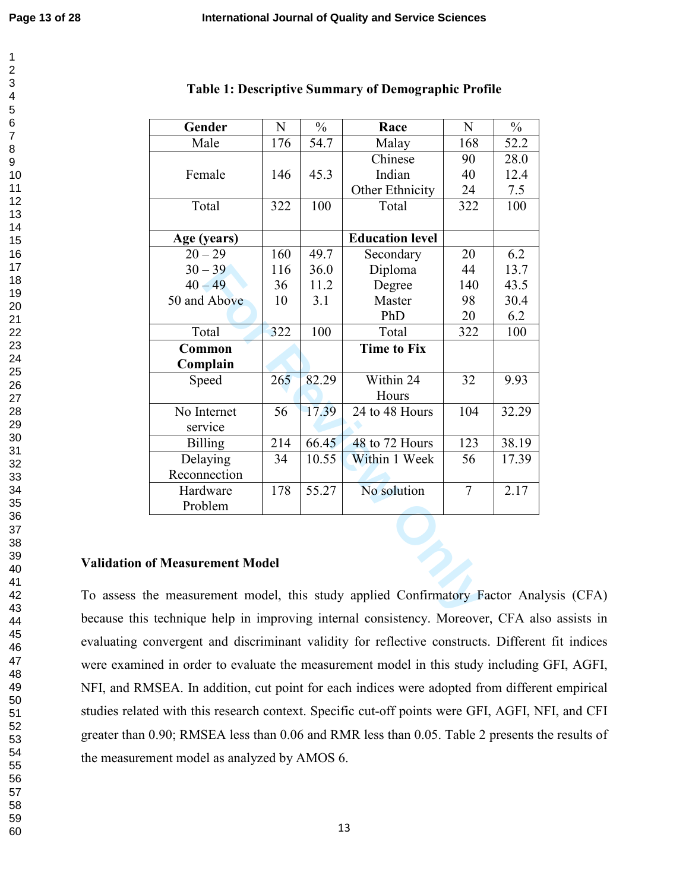| Gender                                                           | N   | $\frac{0}{0}$ | Race                   | N              | $\frac{0}{0}$ |
|------------------------------------------------------------------|-----|---------------|------------------------|----------------|---------------|
| Male                                                             | 176 | 54.7          | Malay                  | 168            | 52.2          |
|                                                                  |     |               | Chinese                | 90             | 28.0          |
| Female                                                           | 146 | 45.3          | Indian                 | 40             | 12.4          |
|                                                                  |     |               | Other Ethnicity        | 24             | 7.5           |
| Total                                                            | 322 | 100           | Total                  | 322            | 100           |
|                                                                  |     |               |                        |                |               |
| Age (years)                                                      |     |               | <b>Education level</b> |                |               |
| $20 - 29$                                                        | 160 | 49.7          | Secondary              | 20             | 6.2           |
| $30 - 39$                                                        | 116 | 36.0          | Diploma                | 44             | 13.7          |
| $40 - 49$                                                        | 36  | 11.2          | Degree                 | 140            | 43.5          |
| 50 and Above                                                     | 10  | 3.1           | Master                 | 98             | 30.4          |
|                                                                  |     |               | PhD                    | 20             | 6.2           |
| Total                                                            | 322 | 100           | Total                  | 322            | 100           |
| Common                                                           |     |               | <b>Time to Fix</b>     |                |               |
| Complain                                                         |     |               |                        |                |               |
| Speed                                                            | 265 | 82.29         | Within 24              | 32             | 9.93          |
|                                                                  |     |               | Hours                  |                |               |
| No Internet                                                      | 56  | 17.39         | 24 to 48 Hours         | 104            | 32.29         |
| service                                                          |     |               |                        |                |               |
| <b>Billing</b>                                                   | 214 | 66.45         | 48 to 72 Hours         | 123            | 38.19         |
| Delaying                                                         | 34  | 10.55         | Within 1 Week          | 56             | 17.39         |
| Reconnection                                                     |     |               |                        |                |               |
| Hardware                                                         | 178 | 55.27         | No solution            | $\overline{7}$ | 2.17          |
| Problem                                                          |     |               |                        |                |               |
|                                                                  |     |               |                        |                |               |
|                                                                  |     |               |                        |                |               |
|                                                                  |     |               |                        |                |               |
| of Measurement Model                                             |     |               |                        |                |               |
|                                                                  |     |               |                        |                |               |
| ne measurement model, this study applied Confirmatory Factor Ana |     |               |                        |                |               |
| technique help in improving internal consistency Moreover CFA al |     |               |                        |                |               |

#### **Table 1: Descriptive Summary of Demographic Profile**

### **Validation of Measurement Model**

To assess the measurement model, this study applied Confirmatory Factor Analysis (CFA) because this technique help in improving internal consistency. Moreover, CFA also assists in evaluating convergent and discriminant validity for reflective constructs. Different fit indices were examined in order to evaluate the measurement model in this study including GFI, AGFI, NFI, and RMSEA. In addition, cut point for each indices were adopted from different empirical studies related with this research context. Specific cut-off points were GFI, AGFI, NFI, and CFI greater than 0.90; RMSEA less than 0.06 and RMR less than 0.05. Table 2 presents the results of the measurement model as analyzed by AMOS 6.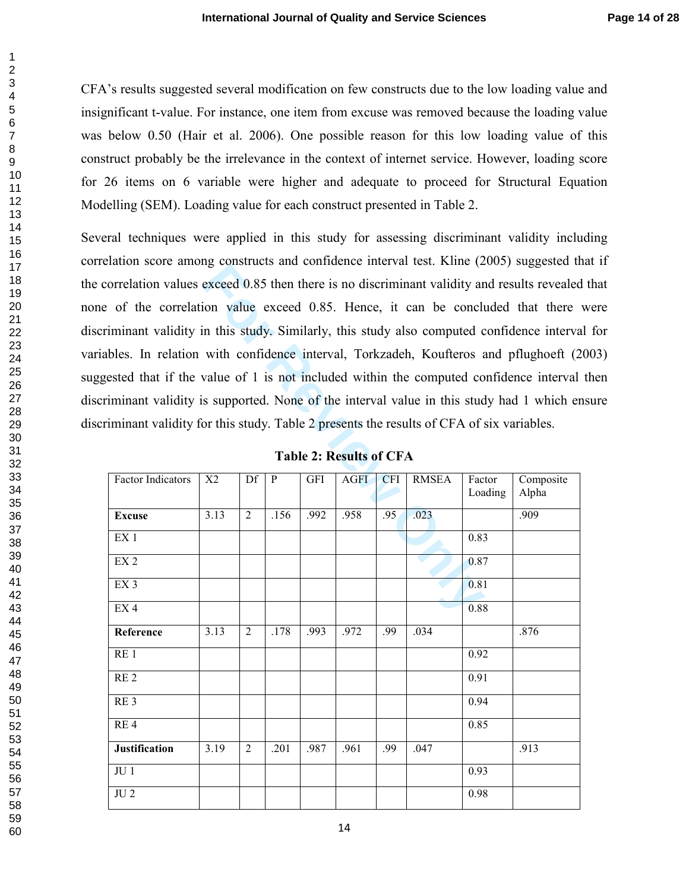CFA's results suggested several modification on few constructs due to the low loading value and insignificant t-value. For instance, one item from excuse was removed because the loading value was below 0.50 (Hair et al. 2006). One possible reason for this low loading value of this construct probably be the irrelevance in the context of internet service. However, loading score for 26 items on 6 variable were higher and adequate to proceed for Structural Equation Modelling (SEM). Loading value for each construct presented in Table 2.

exceed 0.85 then there is no discriminant validity are<br>
in value exceed 0.85. Hence, it can be concluded to value exceed 0.85. Hence, it can be concluded to the concluded with confidence interval, Torkzadeh, Koufteros and Several techniques were applied in this study for assessing discriminant validity including correlation score among constructs and confidence interval test. Kline (2005) suggested that if the correlation values exceed 0.85 then there is no discriminant validity and results revealed that none of the correlation value exceed 0.85. Hence, it can be concluded that there were discriminant validity in this study. Similarly, this study also computed confidence interval for variables. In relation with confidence interval, Torkzadeh, Koufteros and pflughoeft (2003) suggested that if the value of 1 is not included within the computed confidence interval then discriminant validity is supported. None of the interval value in this study had 1 which ensure discriminant validity for this study. Table 2 presents the results of CFA of six variables.

| <b>Factor Indicators</b> | X2   | Df             | $\mathbf{P}$ | <b>GFI</b> | <b>AGFI</b> | <b>CFI</b> | <b>RMSEA</b> | Factor            | Composite |
|--------------------------|------|----------------|--------------|------------|-------------|------------|--------------|-------------------|-----------|
|                          |      |                |              |            |             |            |              | Loading           | Alpha     |
| <b>Excuse</b>            | 3.13 | $\overline{2}$ | .156         | .992       | .958        | .95        | .023         |                   | .909      |
| EX <sub>1</sub>          |      |                |              |            |             |            |              | 0.83              |           |
| EX <sub>2</sub>          |      |                |              |            |             |            |              | $\overline{0.87}$ |           |
| EX <sub>3</sub>          |      |                |              |            |             |            |              | 0.81              |           |
| EX <sub>4</sub>          |      |                |              |            |             |            |              | 0.88              |           |
| Reference                | 3.13 | $\overline{2}$ | .178         | .993       | .972        | .99        | .034         |                   | .876      |
| RE <sub>1</sub>          |      |                |              |            |             |            |              | 0.92              |           |
| RE <sub>2</sub>          |      |                |              |            |             |            |              | 0.91              |           |
| RE <sub>3</sub>          |      |                |              |            |             |            |              | 0.94              |           |
| RE <sub>4</sub>          |      |                |              |            |             |            |              | 0.85              |           |
| <b>Justification</b>     | 3.19 | $\overline{2}$ | .201         | .987       | .961        | .99        | .047         |                   | .913      |
| JU1                      |      |                |              |            |             |            |              | 0.93              |           |
| $\rm{J}U$ $2$            |      |                |              |            |             |            |              | 0.98              |           |

**Table 2: Results of CFA**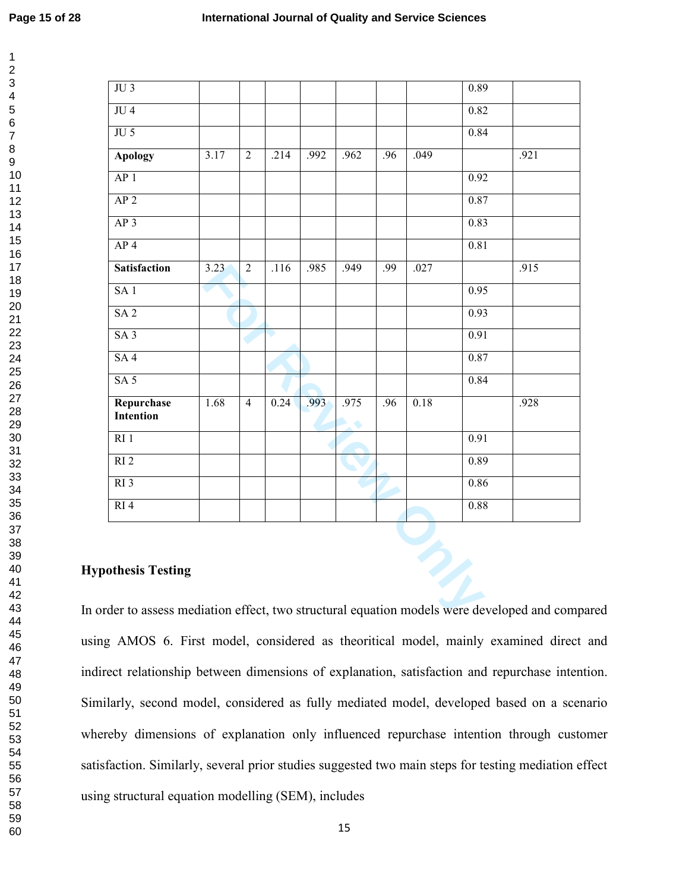| JU4                       |      |                |      |      |      |     |      | 0.82 |      |
|---------------------------|------|----------------|------|------|------|-----|------|------|------|
| $JU$ 5                    |      |                |      |      |      |     |      | 0.84 |      |
| <b>Apology</b>            | 3.17 | $\overline{2}$ | .214 | .992 | .962 | .96 | .049 |      | .921 |
| AP <sub>1</sub>           |      |                |      |      |      |     |      | 0.92 |      |
| AP <sub>2</sub>           |      |                |      |      |      |     |      | 0.87 |      |
| AP <sub>3</sub>           |      |                |      |      |      |     |      | 0.83 |      |
| AP <sub>4</sub>           |      |                |      |      |      |     |      | 0.81 |      |
| <b>Satisfaction</b>       | 3.23 | $\overline{2}$ | .116 | .985 | .949 | .99 | .027 |      | .915 |
| SA1                       |      |                |      |      |      |     |      | 0.95 |      |
| SA <sub>2</sub>           |      |                |      |      |      |     |      | 0.93 |      |
| SA3                       |      |                |      |      |      |     |      | 0.91 |      |
| SA4                       |      |                |      |      |      |     |      | 0.87 |      |
| SA <sub>5</sub>           |      |                |      |      |      |     |      | 0.84 |      |
| Repurchase<br>Intention   | 1.68 | $\overline{4}$ | 0.24 | .993 | .975 | .96 | 0.18 |      | .928 |
| RI <sub>1</sub>           |      |                |      |      |      |     |      | 0.91 |      |
| RI <sub>2</sub>           |      |                |      |      |      |     |      | 0.89 |      |
| RI <sub>3</sub>           |      |                |      |      |      |     |      | 0.86 |      |
| RI <sub>4</sub>           |      |                |      |      |      |     |      | 0.88 |      |
| <b>Hypothesis Testing</b> |      |                |      |      |      |     | 2    |      |      |

# **Hypothesis Testing**

In order to assess mediation effect, two structural equation models were developed and compared using AMOS 6. First model, considered as theoritical model, mainly examined direct and indirect relationship between dimensions of explanation, satisfaction and repurchase intention. Similarly, second model, considered as fully mediated model, developed based on a scenario whereby dimensions of explanation only influenced repurchase intention through customer satisfaction. Similarly, several prior studies suggested two main steps for testing mediation effect using structural equation modelling (SEM), includes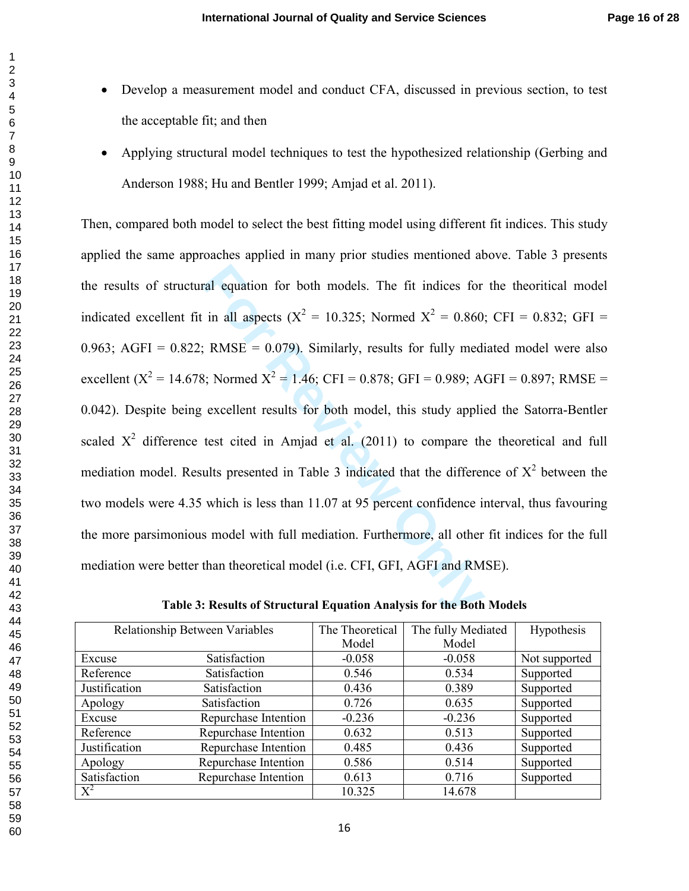- Develop a measurement model and conduct CFA, discussed in previous section, to test the acceptable fit; and then
- Applying structural model techniques to test the hypothesized relationship (Gerbing and Anderson 1988; Hu and Bentler 1999; Amjad et al. 2011).

ral equation for both models. The fit indices for<br>in all aspects  $(X^2 = 10.325$ ; Normed  $X^2 = 0.860$ <br>FRMSE = 0.079). Similarly, results for fully medi<br>B; Normed  $X^2 = 1.46$ ; CFI = 0.878; GFI = 0.989; At<br>excellent results f Then, compared both model to select the best fitting model using different fit indices. This study applied the same approaches applied in many prior studies mentioned above. Table 3 presents the results of structural equation for both models. The fit indices for the theoritical model indicated excellent fit in all aspects ( $X^2 = 10.325$ ; Normed  $X^2 = 0.860$ ; CFI = 0.832; GFI = 0.963; AGFI =  $0.822$ ; RMSE = 0.079). Similarly, results for fully mediated model were also excellent ( $X^2 = 14.678$ ; Normed  $X^2 = 1.46$ ; CFI = 0.878; GFI = 0.989; AGFI = 0.897; RMSE = 0.042). Despite being excellent results for both model, this study applied the Satorra-Bentler scaled  $X^2$  difference test cited in Amjad et al. (2011) to compare the theoretical and full mediation model. Results presented in Table 3 indicated that the difference of  $X^2$  between the two models were 4.35 which is less than 11.07 at 95 percent confidence interval, thus favouring the more parsimonious model with full mediation. Furthermore, all other fit indices for the full mediation were better than theoretical model (i.e. CFI, GFI, AGFI and RMSE).

| Relationship Between Variables |                      | The Theoretical | The fully Mediated | Hypothesis    |
|--------------------------------|----------------------|-----------------|--------------------|---------------|
|                                |                      | Model           | Model              |               |
| Excuse                         | Satisfaction         | $-0.058$        | $-0.058$           | Not supported |
| Reference                      | Satisfaction         | 0.546           | 0.534              | Supported     |
| Justification                  | Satisfaction         | 0.436           | 0.389              | Supported     |
| Apology                        | Satisfaction         | 0.726           | 0.635              | Supported     |
| Excuse                         | Repurchase Intention | $-0.236$        | $-0.236$           | Supported     |
| Reference                      | Repurchase Intention | 0.632           | 0.513              | Supported     |
| Justification                  | Repurchase Intention | 0.485           | 0.436              | Supported     |
| Apology                        | Repurchase Intention | 0.586           | 0.514              | Supported     |
| Satisfaction                   | Repurchase Intention | 0.613           | 0.716              | Supported     |
| $X^2$                          |                      | 10.325          | 14.678             |               |

**Table 3: Results of Structural Equation Analysis for the Both Models**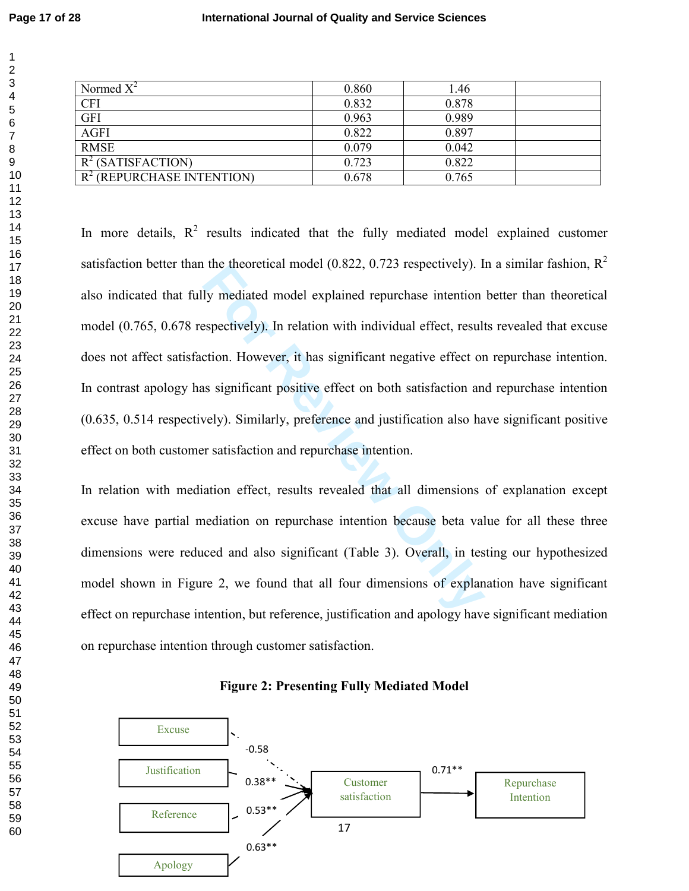| Normed $X^2$                 | 0.860 | 1.46  |  |
|------------------------------|-------|-------|--|
| <b>CFI</b>                   | 0.832 | 0.878 |  |
| <b>GFI</b>                   | 0.963 | 0.989 |  |
| <b>AGFI</b>                  | 0.822 | 0.897 |  |
| <b>RMSE</b>                  | 0.079 | 0.042 |  |
| $R^2$ (SATISFACTION)         | 0.723 | 0.822 |  |
| $R^2$ (REPURCHASE INTENTION) | 0.678 | 0.765 |  |

It me incoletical model (0.822, 0.723 respectively). I<br>Iy mediated model explained repurchase intention<br>espectively). In relation with individual effect, result<br>etion. However, it has significant negative effect or<br>as sign In more details,  $R^2$  results indicated that the fully mediated model explained customer satisfaction better than the theoretical model (0.822, 0.723 respectively). In a similar fashion,  $R^2$ also indicated that fully mediated model explained repurchase intention better than theoretical model (0.765, 0.678 respectively). In relation with individual effect, results revealed that excuse does not affect satisfaction. However, it has significant negative effect on repurchase intention. In contrast apology has significant positive effect on both satisfaction and repurchase intention (0.635, 0.514 respectively). Similarly, preference and justification also have significant positive effect on both customer satisfaction and repurchase intention.

In relation with mediation effect, results revealed that all dimensions of explanation except excuse have partial mediation on repurchase intention because beta value for all these three dimensions were reduced and also significant (Table 3). Overall, in testing our hypothesized model shown in Figure 2, we found that all four dimensions of explanation have significant effect on repurchase intention, but reference, justification and apology have significant mediation on repurchase intention through customer satisfaction.



**Figure 2: Presenting Fully Mediated Model**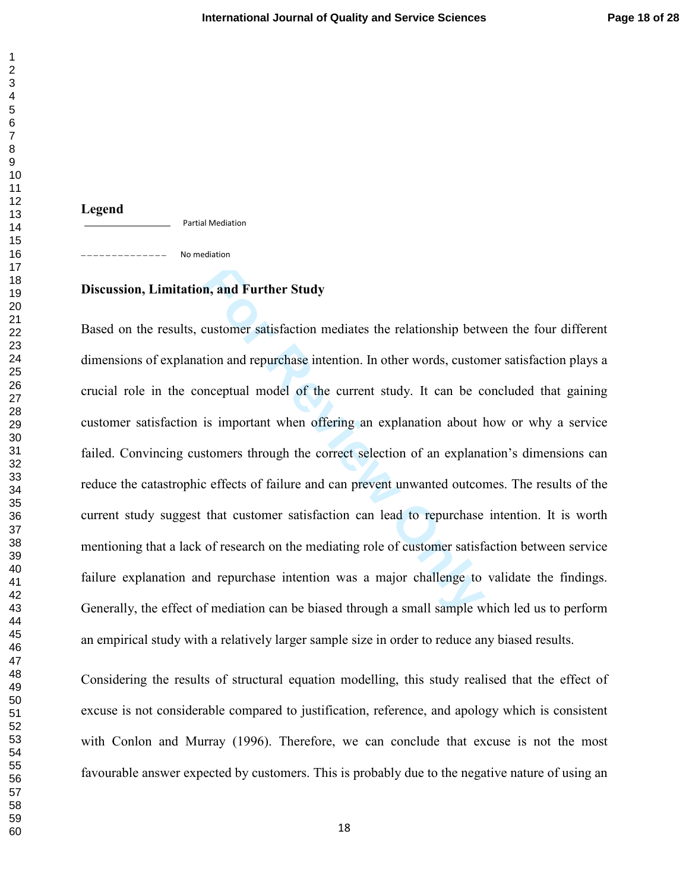**Legend**  Partial Mediation

No mediation \_\_\_\_\_\_\_\_\_\_\_

# **Discussion, Limitation, and Further Study**

**n, and Further Study**<br>customer satisfaction mediates the relationship bety<br>tion and repurchase intention. In other words, custor<br>meceptual model of the current study. It can be c<br>is important when offering an explanation Based on the results, customer satisfaction mediates the relationship between the four different dimensions of explanation and repurchase intention. In other words, customer satisfaction plays a crucial role in the conceptual model of the current study. It can be concluded that gaining customer satisfaction is important when offering an explanation about how or why a service failed. Convincing customers through the correct selection of an explanation's dimensions can reduce the catastrophic effects of failure and can prevent unwanted outcomes. The results of the current study suggest that customer satisfaction can lead to repurchase intention. It is worth mentioning that a lack of research on the mediating role of customer satisfaction between service failure explanation and repurchase intention was a major challenge to validate the findings. Generally, the effect of mediation can be biased through a small sample which led us to perform an empirical study with a relatively larger sample size in order to reduce any biased results.

Considering the results of structural equation modelling, this study realised that the effect of excuse is not considerable compared to justification, reference, and apology which is consistent with Conlon and Murray (1996). Therefore, we can conclude that excuse is not the most favourable answer expected by customers. This is probably due to the negative nature of using an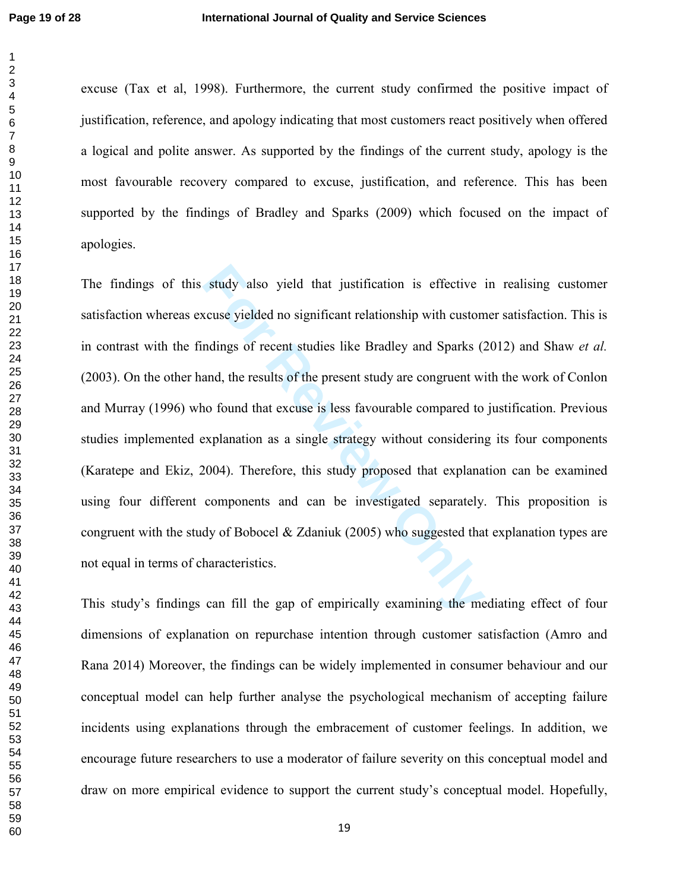excuse (Tax et al, 1998). Furthermore, the current study confirmed the positive impact of justification, reference, and apology indicating that most customers react positively when offered a logical and polite answer. As supported by the findings of the current study, apology is the most favourable recovery compared to excuse, justification, and reference. This has been supported by the findings of Bradley and Sparks (2009) which focused on the impact of apologies.

study also yield that justification is effective<br>ccuse yielded no significant relationship with custom<br>ndings of recent studies like Bradley and Sparks (2<br>and, the results of the present study are congruent wi<br>no found tha The findings of this study also yield that justification is effective in realising customer satisfaction whereas excuse yielded no significant relationship with customer satisfaction. This is in contrast with the findings of recent studies like Bradley and Sparks (2012) and Shaw *et al.* (2003). On the other hand, the results of the present study are congruent with the work of Conlon and Murray (1996) who found that excuse is less favourable compared to justification. Previous studies implemented explanation as a single strategy without considering its four components (Karatepe and Ekiz, 2004). Therefore, this study proposed that explanation can be examined using four different components and can be investigated separately. This proposition is congruent with the study of Bobocel & Zdaniuk (2005) who suggested that explanation types are not equal in terms of characteristics.

This study's findings can fill the gap of empirically examining the mediating effect of four dimensions of explanation on repurchase intention through customer satisfaction (Amro and Rana 2014) Moreover, the findings can be widely implemented in consumer behaviour and our conceptual model can help further analyse the psychological mechanism of accepting failure incidents using explanations through the embracement of customer feelings. In addition, we encourage future researchers to use a moderator of failure severity on this conceptual model and draw on more empirical evidence to support the current study's conceptual model. Hopefully,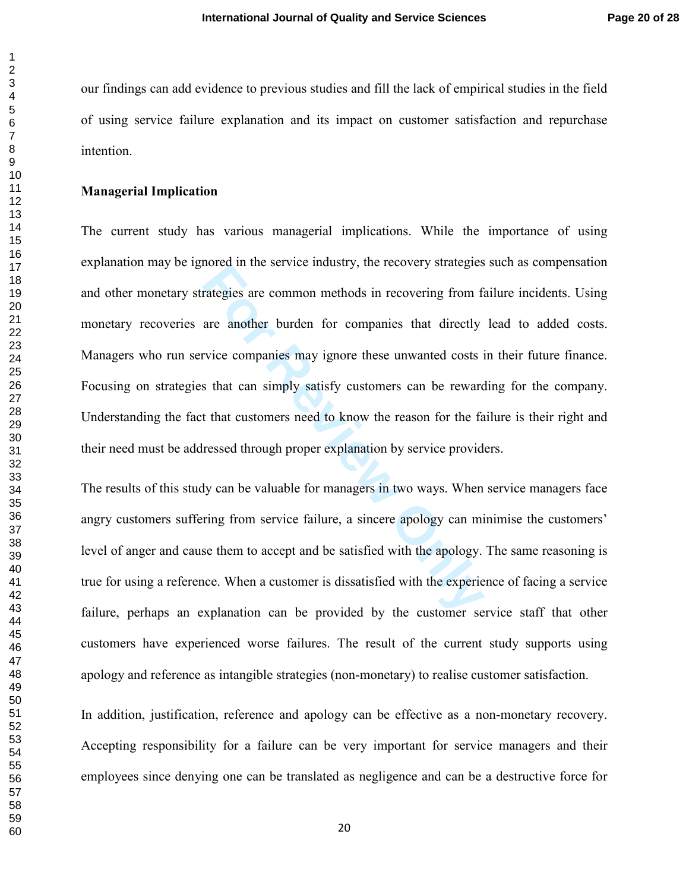our findings can add evidence to previous studies and fill the lack of empirical studies in the field of using service failure explanation and its impact on customer satisfaction and repurchase intention.

## **Managerial Implication**

Franklink and Service matismy, the recovery strategies<br>**Franklink** are another burden for companies that directly<br>**For Review Companies** may ignore these unwanted costs is<br>**Solution** that can simply satisfy customers can b The current study has various managerial implications. While the importance of using explanation may be ignored in the service industry, the recovery strategies such as compensation and other monetary strategies are common methods in recovering from failure incidents. Using monetary recoveries are another burden for companies that directly lead to added costs. Managers who run service companies may ignore these unwanted costs in their future finance. Focusing on strategies that can simply satisfy customers can be rewarding for the company. Understanding the fact that customers need to know the reason for the failure is their right and their need must be addressed through proper explanation by service providers.

The results of this study can be valuable for managers in two ways. When service managers face angry customers suffering from service failure, a sincere apology can minimise the customers' level of anger and cause them to accept and be satisfied with the apology. The same reasoning is true for using a reference. When a customer is dissatisfied with the experience of facing a service failure, perhaps an explanation can be provided by the customer service staff that other customers have experienced worse failures. The result of the current study supports using apology and reference as intangible strategies (non-monetary) to realise customer satisfaction.

In addition, justification, reference and apology can be effective as a non-monetary recovery. Accepting responsibility for a failure can be very important for service managers and their employees since denying one can be translated as negligence and can be a destructive force for

 $\mathbf{1}$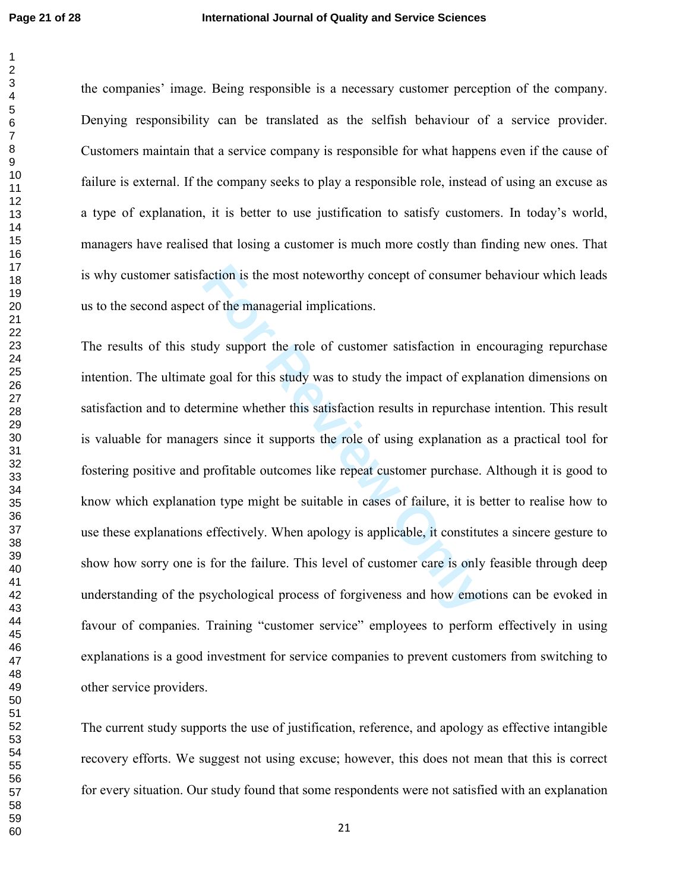the companies' image. Being responsible is a necessary customer perception of the company. Denying responsibility can be translated as the selfish behaviour of a service provider. Customers maintain that a service company is responsible for what happens even if the cause of failure is external. If the company seeks to play a responsible role, instead of using an excuse as a type of explanation, it is better to use justification to satisfy customers. In today's world, managers have realised that losing a customer is much more costly than finding new ones. That is why customer satisfaction is the most noteworthy concept of consumer behaviour which leads us to the second aspect of the managerial implications.

Fraction is the most noteworthy concept of consumer<br>to f the managerial implications.<br>How support the role of customer satisfaction in er<br>export the role of customer satisfaction in er<br>export<br>forming whether this satisfact The results of this study support the role of customer satisfaction in encouraging repurchase intention. The ultimate goal for this study was to study the impact of explanation dimensions on satisfaction and to determine whether this satisfaction results in repurchase intention. This result is valuable for managers since it supports the role of using explanation as a practical tool for fostering positive and profitable outcomes like repeat customer purchase. Although it is good to know which explanation type might be suitable in cases of failure, it is better to realise how to use these explanations effectively. When apology is applicable, it constitutes a sincere gesture to show how sorry one is for the failure. This level of customer care is only feasible through deep understanding of the psychological process of forgiveness and how emotions can be evoked in favour of companies. Training "customer service" employees to perform effectively in using explanations is a good investment for service companies to prevent customers from switching to other service providers.

The current study supports the use of justification, reference, and apology as effective intangible recovery efforts. We suggest not using excuse; however, this does not mean that this is correct for every situation. Our study found that some respondents were not satisfied with an explanation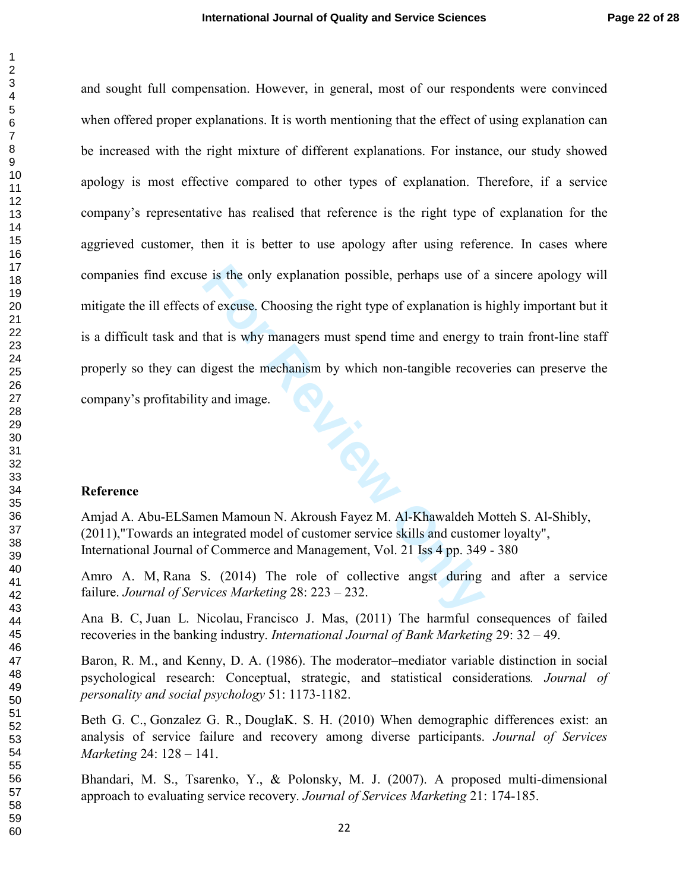and sought full compensation. However, in general, most of our respondents were convinced when offered proper explanations. It is worth mentioning that the effect of using explanation can be increased with the right mixture of different explanations. For instance, our study showed apology is most effective compared to other types of explanation. Therefore, if a service company's representative has realised that reference is the right type of explanation for the aggrieved customer, then it is better to use apology after using reference. In cases where companies find excuse is the only explanation possible, perhaps use of a sincere apology will mitigate the ill effects of excuse. Choosing the right type of explanation is highly important but it is a difficult task and that is why managers must spend time and energy to train front-line staff properly so they can digest the mechanism by which non-tangible recoveries can preserve the company's profitability and image.

#### **Reference**

Amjad A. Abu-ELSamen Mamoun N. Akroush Fayez M. Al-Khawaldeh Motteh S. Al-Shibly, (2011),"Towards an integrated model of customer service skills and customer loyalty", International Journal of Commerce and Management, Vol. 21 Iss 4 pp. 349 - 380

Amro A. M, Rana S. (2014) The role of collective angst during and after a service failure. *Journal of Services Marketing* 28: 223 – 232.

Ana B. C, Juan L. Nicolau, Francisco J. Mas, (2011) The harmful consequences of failed recoveries in the banking industry. *International Journal of Bank Marketing* 29: 32 – 49.

Baron, R. M., and Kenny, D. A. (1986). The moderator–mediator variable distinction in social psychological research: Conceptual, strategic, and statistical considerations*. Journal of personality and social psychology* 51: 1173-1182.

Beth G. C., Gonzalez G. R., DouglaK. S. H. (2010) When demographic differences exist: an analysis of service failure and recovery among diverse participants. *Journal of Services Marketing* 24: 128 – 141.

Bhandari, M. S., Tsarenko, Y., & Polonsky, M. J. (2007). A proposed multi-dimensional approach to evaluating service recovery. *Journal of Services Marketing* 21: 174-185.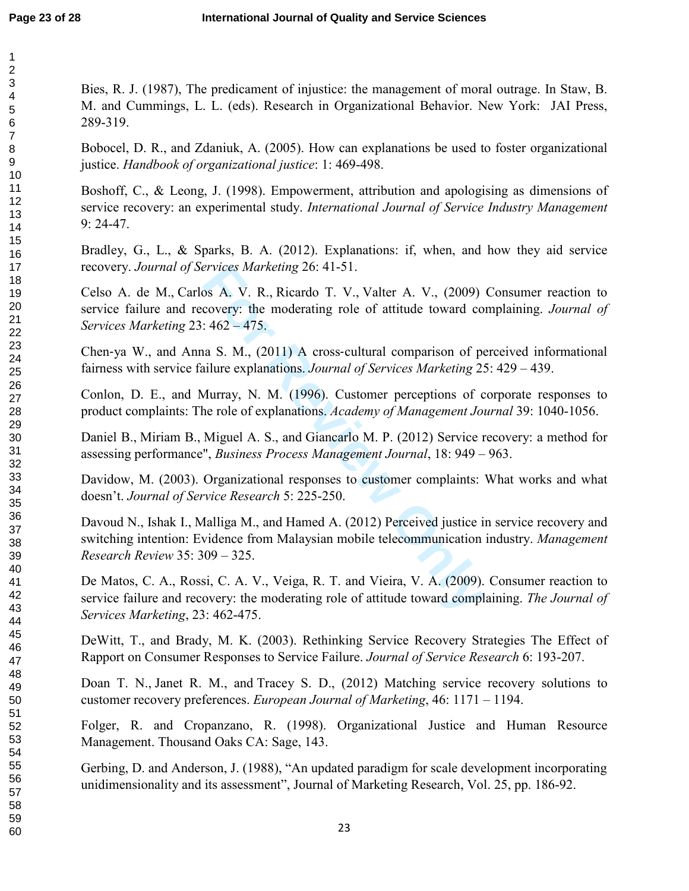Bies, R. J. (1987), The predicament of injustice: the management of moral outrage. In Staw, B. M. and Cummings, L. L. (eds). Research in Organizational Behavior. New York: JAI Press, 289-319.

Bobocel, D. R., and Zdaniuk, A. (2005). How can explanations be used to foster organizational justice. *Handbook of organizational justice*: 1: 469-498.

Boshoff, C., & Leong, J. (1998). Empowerment, attribution and apologising as dimensions of service recovery: an experimental study. *International Journal of Service Industry Managemen t* 9: 24-47.

Bradley, G., L., & Sparks, B. A. (2012). Explanations: if, when, and how they aid service recovery. *Journal of Services Marketing* 26: 41-51.

*Ervices Marketing 26*: 41-51.<br>
Sos A. V. R., Ricardo T. V., Valter A. V., (2009)<br>
covery: the moderating role of attitude toward co<br>
For A62 – 475.<br>
Ana S. M., (2011) A cross-cultural comparison of per-<br>
silure explanatio Celso A. de M., Carlos A. V. R., Ricardo T. V., Valter A. V., (2009) Consumer reaction to service failure and recovery: the moderating role of attitude toward complaining. *Journal of Services Marketing* 23: 462 – 475.

Chen ‐ya W., and Anna S. M., (2011) A cross ‐cultural comparison of perceived informational fairness with service failure explanations. *Journal of Services Marketing* 25: 429 – 439.

Conlon, D. E., and Murray, N. M. (1996). Customer perceptions of corporate responses to product complaints: The role of explanations. *Academy of Management Journal* 39: 1040-1056.

Daniel B., Miriam B., Miguel A. S., and Giancarlo M. P. (2012) Service recovery: a method for assessing performance", *Business Process Management Journal*, 18: 949 – 963.

Davidow, M. (2003). Organizational responses to customer complaints: What works and what doesn't. *Journal of Service Research* 5: 225-250.

Davoud N., Ishak I., Malliga M., and Hamed A. (2012) Perceived justice in service recovery and switching intention: Evidence from Malaysian mobile telecommunication industry. *Management Research Review* 35: 309 – 325.

De Matos, C. A., Rossi, C. A. V., Veiga, R. T. and Vieira, V. A. (2009). Consumer reaction to service failure and recovery: the moderating role of attitude toward complaining. *The Journal of Services Marketing*, 23: 462-475.

DeWitt, T., and Brady, M. K. (2003). Rethinking Service Recovery Strategies The Effect of Rapport on Consumer Responses to Service Failure. *Journal of Service Research* 6: 193-207.

Doan T. N., Janet R. M., and Tracey S. D., (2012) Matching service recovery solutions to customer recovery preferences. *European Journal of Marketing*, 46: 1171 – 1194.

Folger, R. and Cropanzano, R. (1998). Organizational Justice and Human Resource Management. Thousand Oaks CA: Sage, 143.

Gerbing, D. and Anderson, J. (1988), "An updated paradigm for scale development incorporating unidimensionality and its assessment", Journal of Marketing Research, Vol. 25, pp. 186-92.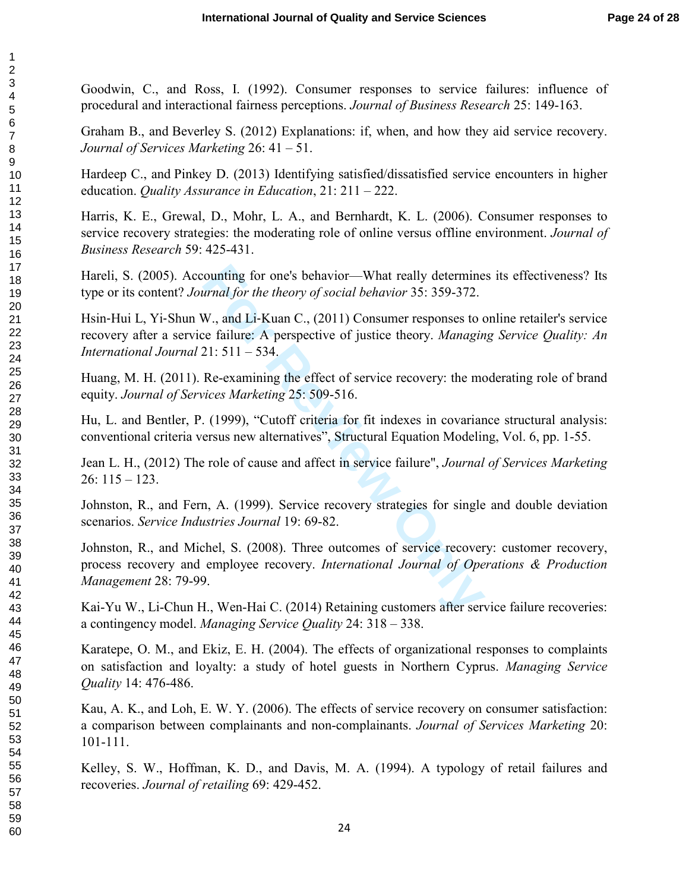Goodwin, C., and Ross, I. (1992). Consumer responses to service failures: influence of procedural and interactional fairness perceptions. *Journal of Business Research* 25: 149-163.

Graham B., and Beverley S. (2012) Explanations: if, when, and how they aid service recovery. *Journal of Services Marketing* 26: 41 – 51.

Hardeep C., and Pinkey D. (2013) Identifying satisfied/dissatisfied service encounters in higher education. *Quality Assurance in Education*, 21: 211 – 222.

Harris, K. E., Grewal, D., Mohr, L. A., and Bernhardt, K. L. (2006). Consumer responses to service recovery strategies: the moderating role of online versus offline environment. *Journal of Business Research* 59: 425-431.

Hareli, S. (2005). Accounting for one's behavior—What really determines its effectiveness? Its type or its content? *Journal for the theory of social behavior* 35: 359-372.

Hsin-Hui L, Yi-Shun W., and Li-Kuan C., (2011) Consumer responses to online retailer's service recovery after a service failure: A perspective of justice theory. *Managing Service Quality: An International Journal* 21: 511 – 534.

Huang, M. H. (2011). Re-examining the effect of service recovery: the moderating role of brand equity. *Journal of Services Marketing* 25: 509-516.

Hu, L. and Bentler, P. (1999), "Cutoff criteria for fit indexes in covariance structural analysis: conventional criteria versus new alternatives", Structural Equation Modeling, Vol. 6, pp. 1-55.

Jean L. H., (2012) The role of cause and affect in service failure", *Journal of Services Marketing* 26: 115 – 123.

Johnston, R., and Fern, A. (1999). Service recovery strategies for single and double deviation scenarios. *Service Industries Journal* 19: 69-82.

ounting for one's behavior—What really determine<br>
urnal for the theory of social behavior 35: 359-372.<br>
W., and Li-Kuan C., (2011) Consumer responses to to<br>
the failure: A perspective of justice theory. *Managin*<br>
21: 511 Johnston, R., and Michel, S. (2008). Three outcomes of service recovery: customer recovery, process recovery and employee recovery. *International Journal of Operations & Production Management* 28: 79-99.

Kai-Yu W., Li-Chun H., Wen-Hai C. (2014) Retaining customers after service failure recoveries: a contingency model. *Managing Service Quality* 24: 318 – 338.

Karatepe, O. M., and Ekiz, E. H. (2004). The effects of organizational responses to complaints on satisfaction and loyalty: a study of hotel guests in Northern Cyprus. *Managing Service Quality* 14: 476-486.

Kau, A. K., and Loh, E. W. Y. (2006). The effects of service recovery on consumer satisfaction: a comparison between complainants and non-complainants. *Journal of Services Marketing* 20: 101-111.

Kelley, S. W., Hoffman, K. D., and Davis, M. A. (1994). A typology of retail failures and recoveries. *Journal of retailing* 69: 429-452.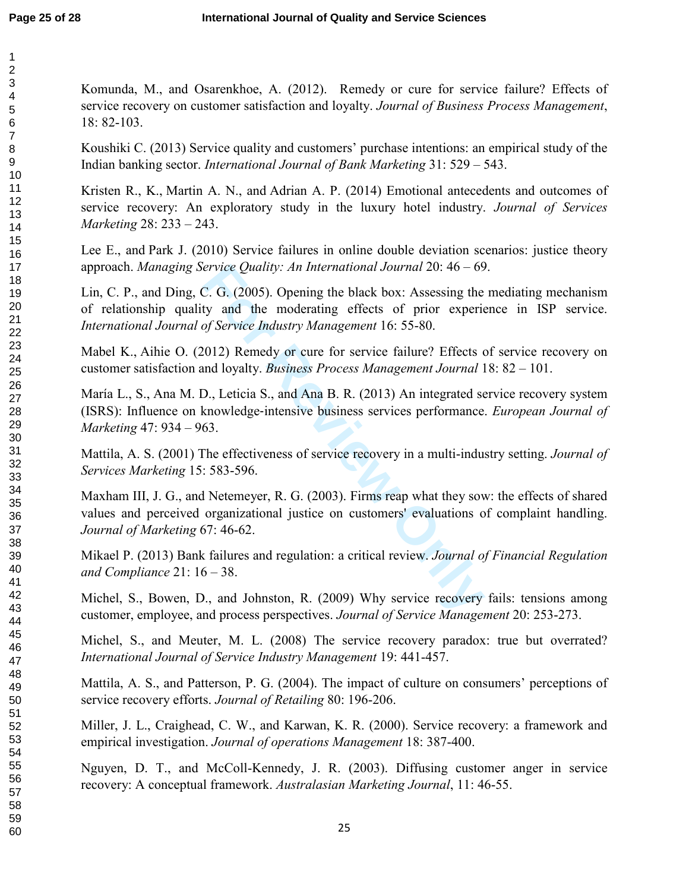60

Komunda, M., and Osarenkhoe, A. (2012). Remedy or cure for service failure? Effects of service recovery on customer satisfaction and loyalty. *Journal of Business Process Management*, 18: 82-103.

Koushiki C. (2013) Service quality and customers' purchase intentions: an empirical study of the Indian banking sector. *International Journal of Bank Marketing* 31: 529 – 543.

Kristen R., K., Martin A. N., and Adrian A. P. (2014) Emotional antecedents and outcomes of service recovery: An exploratory study in the luxury hotel industry. *Journal of Services Marketing* 28: 233 – 243.

Lee E., and Park J. (2010) Service failures in online double deviation scenarios: justice theory approach. *Managing Service Quality: An International Journal* 20: 46 – 69.

Lin, C. P., and Ding, C. G. (2005). Opening the black box: Assessing the mediating mechanism of relationship quality and the moderating effects of prior experience in ISP service. *International Journal of Service Industry Managemen t* 16: 55-80.

Mabel K., Aihie O. (2012) Remedy or cure for service failure? Effects of service recovery on customer satisfaction and loyalty. *Business Process Management Journal* 18: 82 – 101.

María L., S., Ana M. D., Leticia S., and Ana B. R. (2013) An integrated service recovery system (ISRS): Influence on knowledge ‐intensive business services performance. *European Journal of Marketing* 47: 934 – 963.

Mattila, A. S. (2001) The effectiveness of service recovery in a multi-industry setting. *Journal of Services Marketing* 15: 583-596.

*Exerice Quality: An International Journal 20:* 46 – 69<br> *Formal 20: 46* – 69<br> *Formal delaying the black box: Assessing the*<br> *Hy and the moderating effects of prior experies<br>
<i>of Service Industry Management 16: 55-80.*<br> Maxham III, J. G., and Netemeyer, R. G. (2003). Firms reap what they sow: the effects of shared values and perceived organizational justice on customers' evaluations of complaint handling. *Journal of Marketing* 67: 46-62.

Mikael P. (2013) Bank failures and regulation: a critical review. *Journal of Financial Regulation and Compliance* 21: 16 – 38.

Michel, S., Bowen, D., and Johnston, R. (2009) Why service recovery fails: tensions among customer, employee, and process perspectives. *Journal of Service Management* 20: 253-273.

Michel, S., and Meuter, M. L. (2008) The service recovery paradox: true but overrated? *International Journal of Service Industry Managemen t* 19: 441-457.

Mattila, A. S., and Patterson, P. G. (2004). The impact of culture on consumers' perceptions of service recovery efforts. *Journal of Retailing* 80: 196-206.

Miller, J. L., Craighead, C. W., and Karwan, K. R. (2000). Service recovery: a framework and empirical investigation. *Journal of operations Management* 18: 387-400.

Nguyen, D. T., and McColl-Kennedy, J. R. (2003). Diffusing customer anger in service recovery: A conceptual framework. *Australasian Marketing Journal*, 11: 46-55.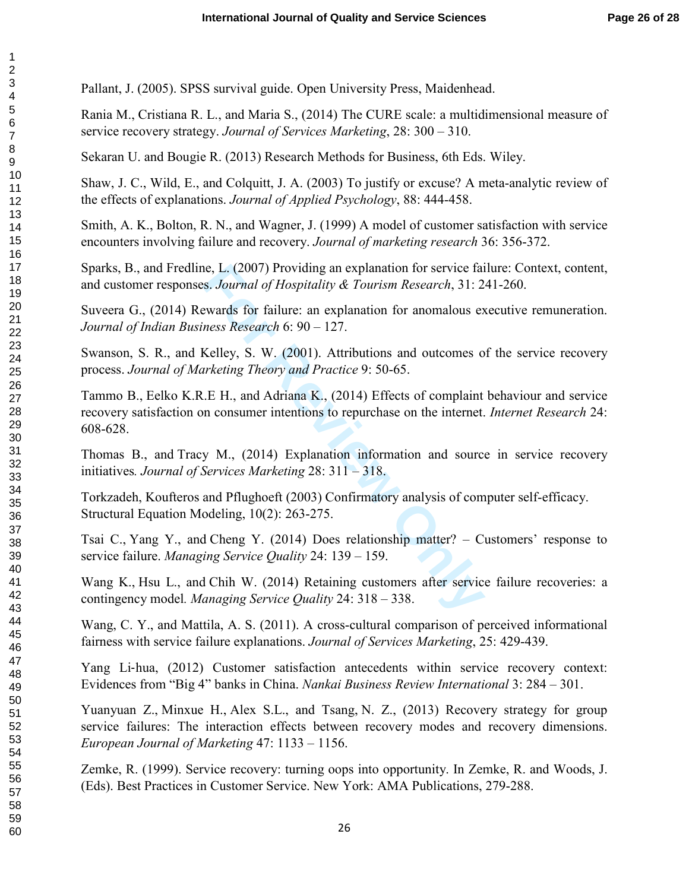Pallant, J. (2005). SPSS survival guide. Open University Press, Maidenhead.

Rania M., Cristiana R. L., and Maria S., (2014) The CURE scale: a multidimensional measure of service recovery strategy. *Journal of Services Marketing*, 28: 300 – 310.

Sekaran U. and Bougie R. (2013) Research Methods for Business, 6th Eds. Wiley.

Shaw, J. C., Wild, E., and Colquitt, J. A. (2003) To justify or excuse? A meta-analytic review of the effects of explanations. *Journal of Applied Psychology*, 88: 444-458.

Smith, A. K., Bolton, R. N., and Wagner, J. (1999) A model of customer satisfaction with service encounters involving failure and recovery. *Journal of marketing research* 36: 356-372.

Sparks, B., and Fredline, L. (2007) Providing an explanation for service failure: Context, content, and customer responses. *Journal of Hospitality & Tourism Research*, 31: 241-260.

Suveera G., (2014) Rewards for failure: an explanation for anomalous executive remuneration. *Journal of Indian Business Research* 6: 90 – 127.

Swanson, S. R., and Kelley, S. W. (2001). Attributions and outcomes of the service recovery process. *Journal of Marketing Theory and Practice* 9: 50-65.

ie, L. (2007) Providing an explanation for service fais. Journal of Hospitality & Tourism Research, 31: 2<br>ewards for failure: an explanation for anomalous ex<br>ness Research 6: 90 – 127.<br>Kelley, S. W. (2001). Attributions an Tammo B., Eelko K.R.E H., and Adriana K., (2014) Effects of complaint behaviour and service recovery satisfaction on consumer intentions to repurchase on the internet. *Internet Research* 24: 608-628.

Thomas B., and Tracy M., (2014) Explanation information and source in service recovery initiatives*. Journal of Services Marketing* 28: 311 – 318.

Torkzadeh, Koufteros and Pflughoeft (2003) Confirmatory analysis of computer self-efficacy. Structural Equation Modeling, 10(2): 263-275.

Tsai C., Yang Y., and Cheng Y. (2014) Does relationship matter? – Customers' response to service failure. *Managing Service Quality* 24: 139 – 159.

Wang K., Hsu L., and Chih W. (2014) Retaining customers after service failure recoveries: a contingency model*. Managing Service Quality* 24: 318 – 338.

Wang, C. Y., and Mattila, A. S. (2011). A cross-cultural comparison of perceived informational fairness with service failure explanations. *Journal of Services Marketing*, 25: 429-439.

Yang Li ‐hua, (2012) Customer satisfaction antecedents within service recovery context: Evidences from "Big 4" banks in China. *Nankai Business Review International* 3: 284 – 301.

Yuanyuan Z., Minxue H., Alex S.L., and Tsang, N. Z., (2013) Recovery strategy for group service failures: The interaction effects between recovery modes and recovery dimensions. *European Journal of Marketing* 47: 1133 – 1156.

Zemke, R. (1999). Service recovery: turning oops into opportunity. In Zemke, R. and Woods, J. (Eds). Best Practices in Customer Service. New York: AMA Publications, 279-288.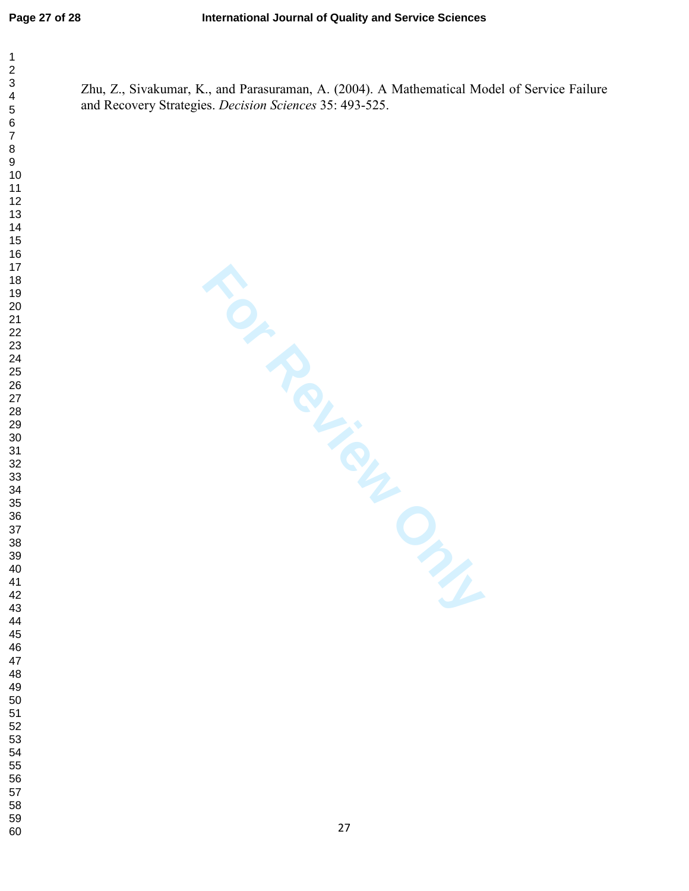$\mathbf{1}$  $\overline{2}$  $\overline{\mathbf{4}}$  $\overline{7}$ 

Zhu, Z., Sivakumar, K., and Parasuraman, A. (2004). A Mathematical Model of Service Failure and Recovery Strategies. *Decision Sciences* 35: 493-525.